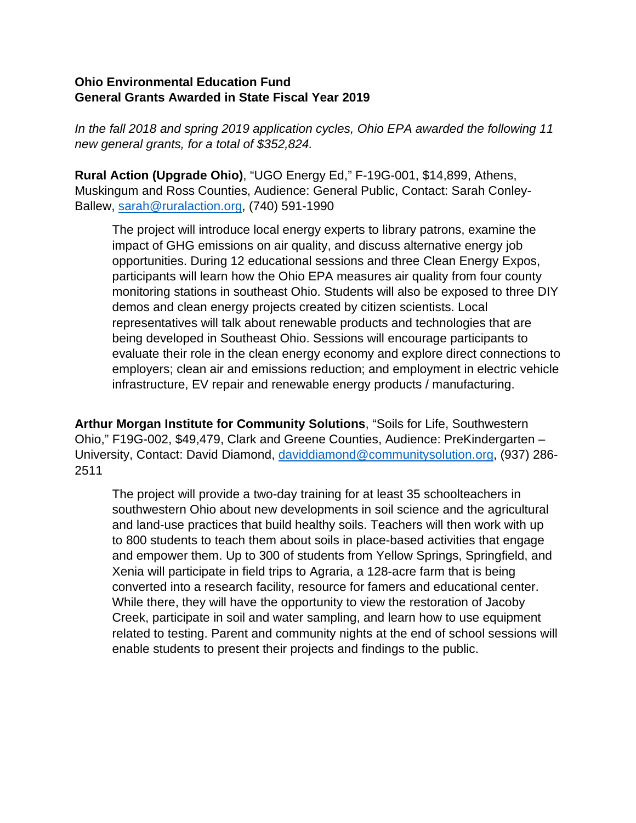## **Ohio Environmental Education Fund General Grants Awarded in State Fiscal Year 2019**

*In the fall 2018 and spring 2019 application cycles, Ohio EPA awarded the following 11 new general grants, for a total of \$352,824.*

**Rural Action (Upgrade Ohio)**, "UGO Energy Ed," F-19G-001, \$14,899, Athens, Muskingum and Ross Counties, Audience: General Public, Contact: Sarah Conley-Ballew, [sarah@ruralaction.org,](mailto:sarah@ruralaction.org) (740) 591-1990

The project will introduce local energy experts to library patrons, examine the impact of GHG emissions on air quality, and discuss alternative energy job opportunities. During 12 educational sessions and three Clean Energy Expos, participants will learn how the Ohio EPA measures air quality from four county monitoring stations in southeast Ohio. Students will also be exposed to three DIY demos and clean energy projects created by citizen scientists. Local representatives will talk about renewable products and technologies that are being developed in Southeast Ohio. Sessions will encourage participants to evaluate their role in the clean energy economy and explore direct connections to employers; clean air and emissions reduction; and employment in electric vehicle infrastructure, EV repair and renewable energy products / manufacturing.

**Arthur Morgan Institute for Community Solutions**, "Soils for Life, Southwestern Ohio," F19G-002, \$49,479, Clark and Greene Counties, Audience: PreKindergarten – University, Contact: David Diamond, [daviddiamond@communitysolution.org,](mailto:daviddiamond@communitysolution.org) (937) 286- 2511

The project will provide a two-day training for at least 35 schoolteachers in southwestern Ohio about new developments in soil science and the agricultural and land-use practices that build healthy soils. Teachers will then work with up to 800 students to teach them about soils in place-based activities that engage and empower them. Up to 300 of students from Yellow Springs, Springfield, and Xenia will participate in field trips to Agraria, a 128-acre farm that is being converted into a research facility, resource for famers and educational center. While there, they will have the opportunity to view the restoration of Jacoby Creek, participate in soil and water sampling, and learn how to use equipment related to testing. Parent and community nights at the end of school sessions will enable students to present their projects and findings to the public.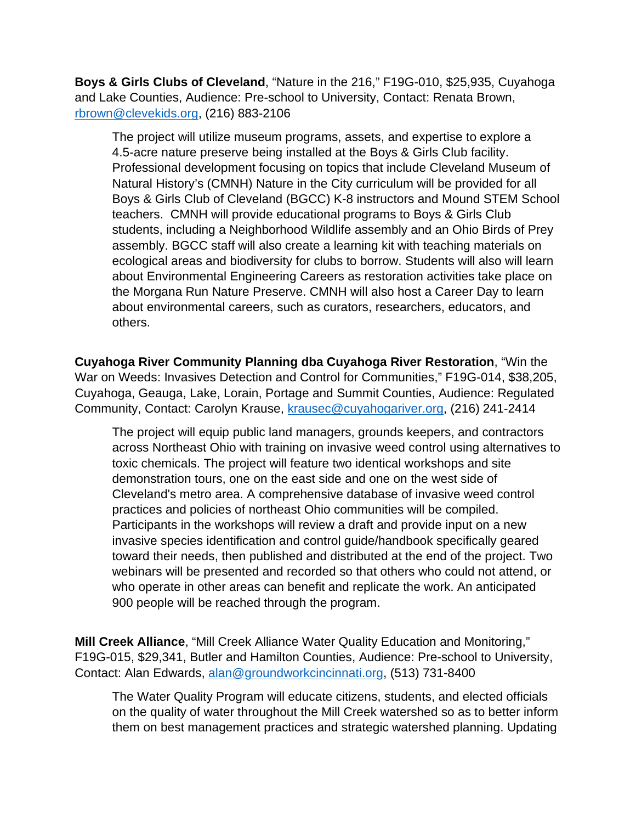**Boys & Girls Clubs of Cleveland**, "Nature in the 216," F19G-010, \$25,935, Cuyahoga and Lake Counties, Audience: Pre-school to University, Contact: Renata Brown, [rbrown@clevekids.org,](mailto:rbrown@clevekids.org) (216) 883-2106

The project will utilize museum programs, assets, and expertise to explore a 4.5-acre nature preserve being installed at the Boys & Girls Club facility. Professional development focusing on topics that include Cleveland Museum of Natural History's (CMNH) Nature in the City curriculum will be provided for all Boys & Girls Club of Cleveland (BGCC) K-8 instructors and Mound STEM School teachers. CMNH will provide educational programs to Boys & Girls Club students, including a Neighborhood Wildlife assembly and an Ohio Birds of Prey assembly. BGCC staff will also create a learning kit with teaching materials on ecological areas and biodiversity for clubs to borrow. Students will also will learn about Environmental Engineering Careers as restoration activities take place on the Morgana Run Nature Preserve. CMNH will also host a Career Day to learn about environmental careers, such as curators, researchers, educators, and others.

**Cuyahoga River Community Planning dba Cuyahoga River Restoration**, "Win the War on Weeds: Invasives Detection and Control for Communities," F19G-014, \$38,205, Cuyahoga, Geauga, Lake, Lorain, Portage and Summit Counties, Audience: Regulated Community, Contact: Carolyn Krause, [krausec@cuyahogariver.org,](mailto:krausec@cuyahogariver.org) (216) 241-2414

The project will equip public land managers, grounds keepers, and contractors across Northeast Ohio with training on invasive weed control using alternatives to toxic chemicals. The project will feature two identical workshops and site demonstration tours, one on the east side and one on the west side of Cleveland's metro area. A comprehensive database of invasive weed control practices and policies of northeast Ohio communities will be compiled. Participants in the workshops will review a draft and provide input on a new invasive species identification and control guide/handbook specifically geared toward their needs, then published and distributed at the end of the project. Two webinars will be presented and recorded so that others who could not attend, or who operate in other areas can benefit and replicate the work. An anticipated 900 people will be reached through the program.

**Mill Creek Alliance**, "Mill Creek Alliance Water Quality Education and Monitoring," F19G-015, \$29,341, Butler and Hamilton Counties, Audience: Pre-school to University, Contact: Alan Edwards, [alan@groundworkcincinnati.org,](mailto:alan@groundworkcincinnati.org) (513) 731-8400

The Water Quality Program will educate citizens, students, and elected officials on the quality of water throughout the Mill Creek watershed so as to better inform them on best management practices and strategic watershed planning. Updating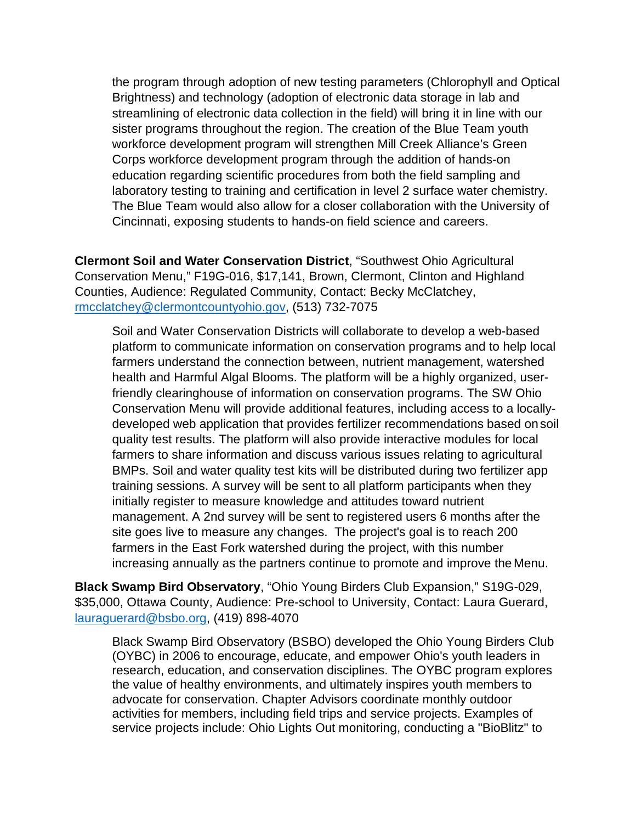the program through adoption of new testing parameters (Chlorophyll and Optical Brightness) and technology (adoption of electronic data storage in lab and streamlining of electronic data collection in the field) will bring it in line with our sister programs throughout the region. The creation of the Blue Team youth workforce development program will strengthen Mill Creek Alliance's Green Corps workforce development program through the addition of hands-on education regarding scientific procedures from both the field sampling and laboratory testing to training and certification in level 2 surface water chemistry. The Blue Team would also allow for a closer collaboration with the University of Cincinnati, exposing students to hands-on field science and careers.

**Clermont Soil and Water Conservation District**, "Southwest Ohio Agricultural Conservation Menu," F19G-016, \$17,141, Brown, Clermont, Clinton and Highland Counties, Audience: Regulated Community, Contact: Becky McClatchey, [rmcclatchey@clermontcountyohio.gov,](mailto:rmcclatchey@clermontcountyohio.gov) (513) 732-7075

Soil and Water Conservation Districts will collaborate to develop a web-based platform to communicate information on conservation programs and to help local farmers understand the connection between, nutrient management, watershed health and Harmful Algal Blooms. The platform will be a highly organized, userfriendly clearinghouse of information on conservation programs. The SW Ohio Conservation Menu will provide additional features, including access to a locallydeveloped web application that provides fertilizer recommendations based on soil quality test results. The platform will also provide interactive modules for local farmers to share information and discuss various issues relating to agricultural BMPs. Soil and water quality test kits will be distributed during two fertilizer app training sessions. A survey will be sent to all platform participants when they initially register to measure knowledge and attitudes toward nutrient management. A 2nd survey will be sent to registered users 6 months after the site goes live to measure any changes. The project's goal is to reach 200 farmers in the East Fork watershed during the project, with this number increasing annually as the partners continue to promote and improve the Menu.

**Black Swamp Bird Observatory**, "Ohio Young Birders Club Expansion," S19G-029, \$35,000, Ottawa County, Audience: Pre-school to University, Contact: Laura Guerard, [lauraguerard@bsbo.org,](mailto:lauraguerard@bsbo.org) (419) 898-4070

Black Swamp Bird Observatory (BSBO) developed the Ohio Young Birders Club (OYBC) in 2006 to encourage, educate, and empower Ohio's youth leaders in research, education, and conservation disciplines. The OYBC program explores the value of healthy environments, and ultimately inspires youth members to advocate for conservation. Chapter Advisors coordinate monthly outdoor activities for members, including field trips and service projects. Examples of service projects include: Ohio Lights Out monitoring, conducting a "BioBlitz" to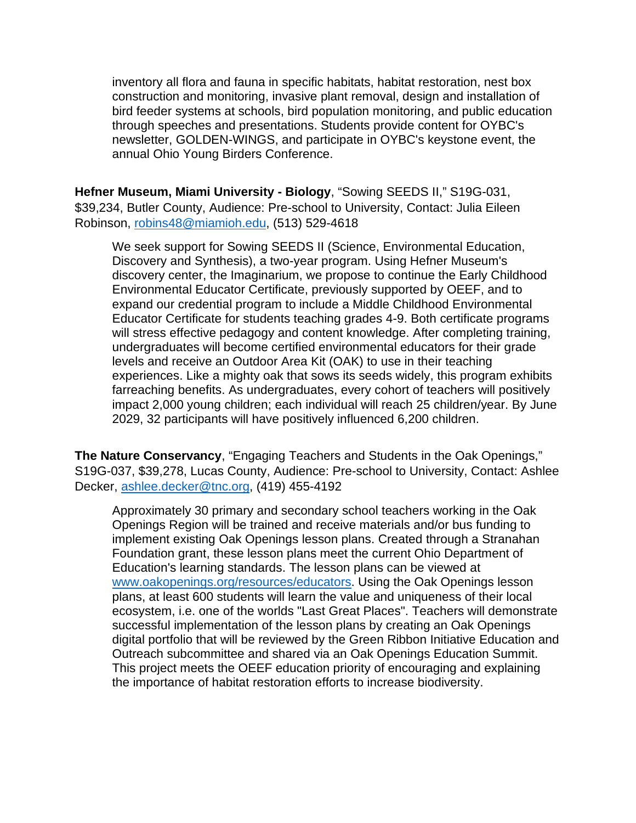inventory all flora and fauna in specific habitats, habitat restoration, nest box construction and monitoring, invasive plant removal, design and installation of bird feeder systems at schools, bird population monitoring, and public education through speeches and presentations. Students provide content for OYBC's newsletter, GOLDEN-WINGS, and participate in OYBC's keystone event, the annual Ohio Young Birders Conference.

**Hefner Museum, Miami University - Biology**, "Sowing SEEDS II," S19G-031, \$39,234, Butler County, Audience: Pre-school to University, Contact: Julia Eileen Robinson, [robins48@miamioh.edu,](mailto:robins48@miamioh.edu) (513) 529-4618

We seek support for Sowing SEEDS II (Science, Environmental Education, Discovery and Synthesis), a two-year program. Using Hefner Museum's discovery center, the Imaginarium, we propose to continue the Early Childhood Environmental Educator Certificate, previously supported by OEEF, and to expand our credential program to include a Middle Childhood Environmental Educator Certificate for students teaching grades 4-9. Both certificate programs will stress effective pedagogy and content knowledge. After completing training, undergraduates will become certified environmental educators for their grade levels and receive an Outdoor Area Kit (OAK) to use in their teaching experiences. Like a mighty oak that sows its seeds widely, this program exhibits farreaching benefits. As undergraduates, every cohort of teachers will positively impact 2,000 young children; each individual will reach 25 children/year. By June 2029, 32 participants will have positively influenced 6,200 children.

**The Nature Conservancy**, "Engaging Teachers and Students in the Oak Openings," S19G-037, \$39,278, Lucas County, Audience: Pre-school to University, Contact: Ashlee Decker, [ashlee.decker@tnc.org,](mailto:ashlee.decker@tnc.org) (419) 455-4192

Approximately 30 primary and secondary school teachers working in the Oak Openings Region will be trained and receive materials and/or bus funding to implement existing Oak Openings lesson plans. Created through a Stranahan Foundation grant, these lesson plans meet the current Ohio Department of Education's learning standards. The lesson plans can be viewed at [www.oakopenings.org/resources/educators.](http://www.oakopenings.org/resources/educators) Using the Oak Openings lesson plans, at least 600 students will learn the value and uniqueness of their local ecosystem, i.e. one of the worlds "Last Great Places". Teachers will demonstrate successful implementation of the lesson plans by creating an Oak Openings digital portfolio that will be reviewed by the Green Ribbon Initiative Education and Outreach subcommittee and shared via an Oak Openings Education Summit. This project meets the OEEF education priority of encouraging and explaining the importance of habitat restoration efforts to increase biodiversity.